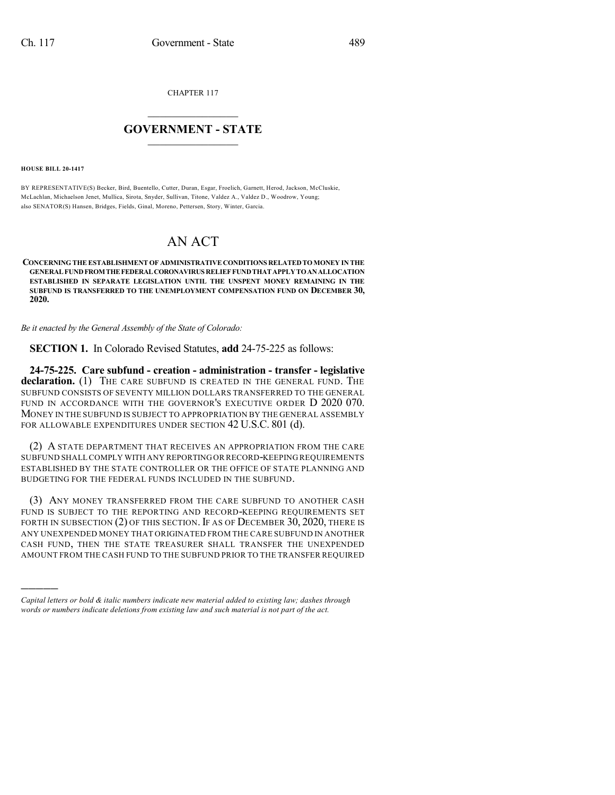CHAPTER 117

## $\overline{\phantom{a}}$  . The set of the set of the set of the set of the set of the set of the set of the set of the set of the set of the set of the set of the set of the set of the set of the set of the set of the set of the set o **GOVERNMENT - STATE**  $\_$

**HOUSE BILL 20-1417**

)))))

BY REPRESENTATIVE(S) Becker, Bird, Buentello, Cutter, Duran, Esgar, Froelich, Garnett, Herod, Jackson, McCluskie, McLachlan, Michaelson Jenet, Mullica, Sirota, Snyder, Sullivan, Titone, Valdez A., Valdez D., Woodrow, Young; also SENATOR(S) Hansen, Bridges, Fields, Ginal, Moreno, Pettersen, Story, Winter, Garcia.

## AN ACT

**CONCERNING THE ESTABLISHMENT OF ADMINISTRATIVE CONDITIONS RELATEDTOMONEY IN THE GENERALFUNDFROMTHEFEDERALCORONAVIRUS RELIEFFUNDTHATAPPLYTOANALLOCATION ESTABLISHED IN SEPARATE LEGISLATION UNTIL THE UNSPENT MONEY REMAINING IN THE SUBFUND IS TRANSFERRED TO THE UNEMPLOYMENT COMPENSATION FUND ON DECEMBER 30, 2020.**

*Be it enacted by the General Assembly of the State of Colorado:*

**SECTION 1.** In Colorado Revised Statutes, **add** 24-75-225 as follows:

**24-75-225. Care subfund - creation - administration - transfer - legislative** declaration. (1) THE CARE SUBFUND IS CREATED IN THE GENERAL FUND. THE SUBFUND CONSISTS OF SEVENTY MILLION DOLLARS TRANSFERRED TO THE GENERAL FUND IN ACCORDANCE WITH THE GOVERNOR'S EXECUTIVE ORDER D 2020 070. MONEY IN THE SUBFUND IS SUBJECT TO APPROPRIATION BY THE GENERAL ASSEMBLY FOR ALLOWABLE EXPENDITURES UNDER SECTION 42 U.S.C. 801 (d).

(2) A STATE DEPARTMENT THAT RECEIVES AN APPROPRIATION FROM THE CARE SUBFUND SHALL COMPLY WITH ANY REPORTINGOR RECORD-KEEPING REQUIREMENTS ESTABLISHED BY THE STATE CONTROLLER OR THE OFFICE OF STATE PLANNING AND BUDGETING FOR THE FEDERAL FUNDS INCLUDED IN THE SUBFUND.

(3) ANY MONEY TRANSFERRED FROM THE CARE SUBFUND TO ANOTHER CASH FUND IS SUBJECT TO THE REPORTING AND RECORD-KEEPING REQUIREMENTS SET FORTH IN SUBSECTION (2) OF THIS SECTION. IF AS OF DECEMBER 30, 2020, THERE IS ANY UNEXPENDED MONEY THAT ORIGINATED FROM THE CARE SUBFUND IN ANOTHER CASH FUND, THEN THE STATE TREASURER SHALL TRANSFER THE UNEXPENDED AMOUNT FROM THE CASH FUND TO THE SUBFUND PRIOR TO THE TRANSFER REQUIRED

*Capital letters or bold & italic numbers indicate new material added to existing law; dashes through words or numbers indicate deletions from existing law and such material is not part of the act.*